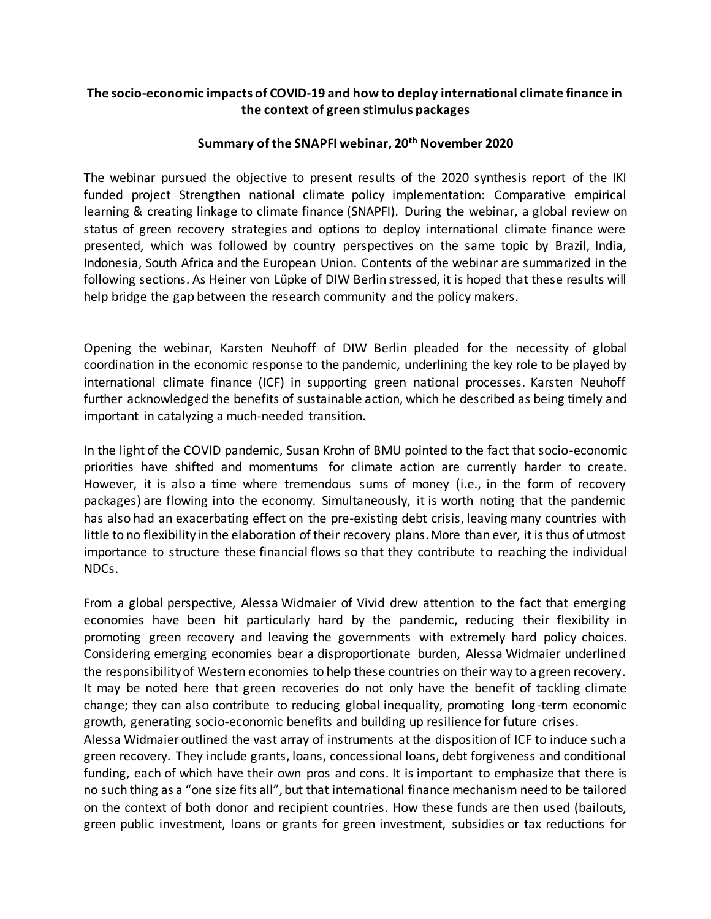## **The socio-economic impacts of COVID-19 and how to deploy international climate finance in the context of green stimulus packages**

## **Summary of the SNAPFI webinar, 20th November 2020**

The webinar pursued the objective to present results of the 2020 synthesis report of the IKI funded project Strengthen national climate policy implementation: Comparative empirical learning & creating linkage to climate finance (SNAPFI). During the webinar, a global review on status of green recovery strategies and options to deploy international climate finance were presented, which was followed by country perspectives on the same topic by Brazil, India, Indonesia, South Africa and the European Union. Contents of the webinar are summarized in the following sections. As Heiner von Lüpke of DIW Berlin stressed, it is hoped that these results will help bridge the gap between the research community and the policy makers.

Opening the webinar, Karsten Neuhoff of DIW Berlin pleaded for the necessity of global coordination in the economic response to the pandemic, underlining the key role to be played by international climate finance (ICF) in supporting green national processes. Karsten Neuhoff further acknowledged the benefits of sustainable action, which he described as being timely and important in catalyzing a much-needed transition.

In the light of the COVID pandemic, Susan Krohn of BMU pointed to the fact that socio-economic priorities have shifted and momentums for climate action are currently harder to create. However, it is also a time where tremendous sums of money (i.e., in the form of recovery packages) are flowing into the economy. Simultaneously, it is worth noting that the pandemic has also had an exacerbating effect on the pre-existing debt crisis, leaving many countries with little to no flexibility in the elaboration of their recovery plans. More than ever, it is thus of utmost importance to structure these financial flows so that they contribute to reaching the individual NDCs.

From a global perspective, Alessa Widmaier of Vivid drew attention to the fact that emerging economies have been hit particularly hard by the pandemic, reducing their flexibility in promoting green recovery and leaving the governments with extremely hard policy choices. Considering emerging economies bear a disproportionate burden, Alessa Widmaier underlined the responsibility of Western economies to help these countries on their way to a green recovery. It may be noted here that green recoveries do not only have the benefit of tackling climate change; they can also contribute to reducing global inequality, promoting long-term economic growth, generating socio-economic benefits and building up resilience for future crises.

Alessa Widmaier outlined the vast array of instruments at the disposition of ICF to induce such a green recovery. They include grants, loans, concessional loans, debt forgiveness and conditional funding, each of which have their own pros and cons. It is important to emphasize that there is no such thing as a "one size fits all", but that international finance mechanism need to be tailored on the context of both donor and recipient countries. How these funds are then used (bailouts, green public investment, loans or grants for green investment, subsidies or tax reductions for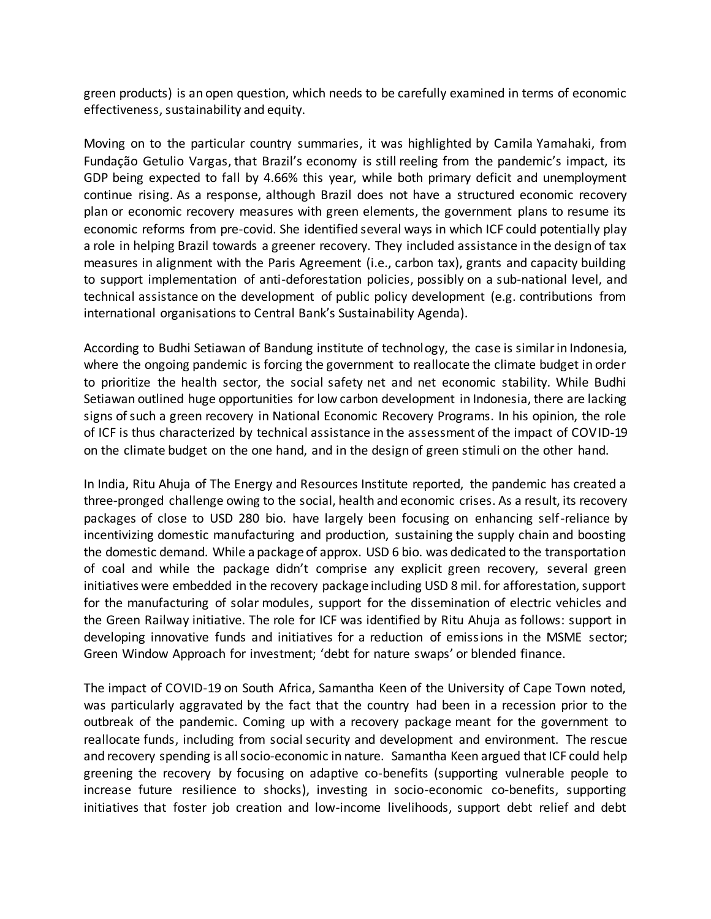green products) is an open question, which needs to be carefully examined in terms of economic effectiveness, sustainability and equity.

Moving on to the particular country summaries, it was highlighted by Camila Yamahaki, from Fundação Getulio Vargas, that Brazil's economy is still reeling from the pandemic's impact, its GDP being expected to fall by 4.66% this year, while both primary deficit and unemployment continue rising. As a response, although Brazil does not have a structured economic recovery plan or economic recovery measures with green elements, the government plans to resume its economic reforms from pre-covid. She identified several ways in which ICF could potentially play a role in helping Brazil towards a greener recovery. They included assistance in the design of tax measures in alignment with the Paris Agreement (i.e., carbon tax), grants and capacity building to support implementation of anti-deforestation policies, possibly on a sub-national level, and technical assistance on the development of public policy development (e.g. contributions from international organisations to Central Bank's Sustainability Agenda).

According to Budhi Setiawan of Bandung institute of technology, the case is similar in Indonesia, where the ongoing pandemic is forcing the government to reallocate the climate budget in order to prioritize the health sector, the social safety net and net economic stability. While Budhi Setiawan outlined huge opportunities for low carbon development in Indonesia, there are lacking signs of such a green recovery in National Economic Recovery Programs. In his opinion, the role of ICF is thus characterized by technical assistance in the assessment of the impact of COVID-19 on the climate budget on the one hand, and in the design of green stimuli on the other hand.

In India, Ritu Ahuja of The Energy and Resources Institute reported, the pandemic has created a three-pronged challenge owing to the social, health and economic crises. As a result, its recovery packages of close to USD 280 bio. have largely been focusing on enhancing self-reliance by incentivizing domestic manufacturing and production, sustaining the supply chain and boosting the domestic demand. While a package of approx. USD 6 bio. was dedicated to the transportation of coal and while the package didn't comprise any explicit green recovery, several green initiatives were embedded in the recovery package including USD 8 mil. for afforestation, support for the manufacturing of solar modules, support for the dissemination of electric vehicles and the Green Railway initiative. The role for ICF was identified by Ritu Ahuja as follows: support in developing innovative funds and initiatives for a reduction of emissions in the MSME sector; Green Window Approach for investment; 'debt for nature swaps' or blended finance.

The impact of COVID-19 on South Africa, Samantha Keen of the University of Cape Town noted, was particularly aggravated by the fact that the country had been in a recession prior to the outbreak of the pandemic. Coming up with a recovery package meant for the government to reallocate funds, including from social security and development and environment. The rescue and recovery spending is all socio-economic in nature. Samantha Keen argued that ICF could help greening the recovery by focusing on adaptive co-benefits (supporting vulnerable people to increase future resilience to shocks), investing in socio-economic co-benefits, supporting initiatives that foster job creation and low-income livelihoods, support debt relief and debt